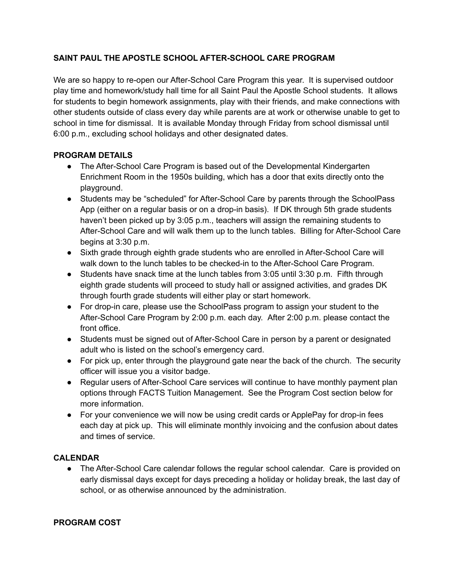## **SAINT PAUL THE APOSTLE SCHOOL AFTER-SCHOOL CARE PROGRAM**

We are so happy to re-open our After-School Care Program this year. It is supervised outdoor play time and homework/study hall time for all Saint Paul the Apostle School students. It allows for students to begin homework assignments, play with their friends, and make connections with other students outside of class every day while parents are at work or otherwise unable to get to school in time for dismissal. It is available Monday through Friday from school dismissal until 6:00 p.m., excluding school holidays and other designated dates.

## **PROGRAM DETAILS**

- The After-School Care Program is based out of the Developmental Kindergarten Enrichment Room in the 1950s building, which has a door that exits directly onto the playground.
- Students may be "scheduled" for After-School Care by parents through the SchoolPass App (either on a regular basis or on a drop-in basis). If DK through 5th grade students haven't been picked up by 3:05 p.m., teachers will assign the remaining students to After-School Care and will walk them up to the lunch tables. Billing for After-School Care begins at 3:30 p.m.
- Sixth grade through eighth grade students who are enrolled in After-School Care will walk down to the lunch tables to be checked-in to the After-School Care Program.
- Students have snack time at the lunch tables from 3:05 until 3:30 p.m. Fifth through eighth grade students will proceed to study hall or assigned activities, and grades DK through fourth grade students will either play or start homework.
- For drop-in care, please use the SchoolPass program to assign your student to the After-School Care Program by 2:00 p.m. each day. After 2:00 p.m. please contact the front office.
- Students must be signed out of After-School Care in person by a parent or designated adult who is listed on the school's emergency card.
- For pick up, enter through the playground gate near the back of the church. The security officer will issue you a visitor badge.
- Regular users of After-School Care services will continue to have monthly payment plan options through FACTS Tuition Management. See the Program Cost section below for more information.
- For your convenience we will now be using credit cards or ApplePay for drop-in fees each day at pick up. This will eliminate monthly invoicing and the confusion about dates and times of service.

## **CALENDAR**

• The After-School Care calendar follows the regular school calendar. Care is provided on early dismissal days except for days preceding a holiday or holiday break, the last day of school, or as otherwise announced by the administration.

## **PROGRAM COST**